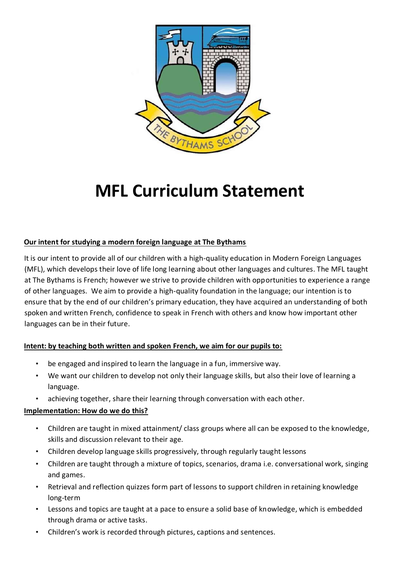

# **MFL Curriculum Statement**

## **Our intent for studying a modern foreign language at The Bythams**

It is our intent to provide all of our children with a high-quality education in Modern Foreign Languages (MFL), which develops their love of life long learning about other languages and cultures. The MFL taught at The Bythams is French; however we strive to provide children with opportunities to experience a range of other languages. We aim to provide a high-quality foundation in the language; our intention is to ensure that by the end of our children's primary education, they have acquired an understanding of both spoken and written French, confidence to speak in French with others and know how important other languages can be in their future.

## **Intent: by teaching both written and spoken French, we aim for our pupils to:**

- be engaged and inspired to learn the language in a fun, immersive way.
- We want our children to develop not only their language skills, but also their love of learning a language.
- achieving together, share their learning through conversation with each other.

## **Implementation: How do we do this?**

- Children are taught in mixed attainment/ class groups where all can be exposed to the knowledge, skills and discussion relevant to their age.
- Children develop language skills progressively, through regularly taught lessons
- Children are taught through a mixture of topics, scenarios, drama i.e. conversational work, singing and games.
- Retrieval and reflection quizzes form part of lessons to support children in retaining knowledge long-term
- Lessons and topics are taught at a pace to ensure a solid base of knowledge, which is embedded through drama or active tasks.
- Children's work is recorded through pictures, captions and sentences.